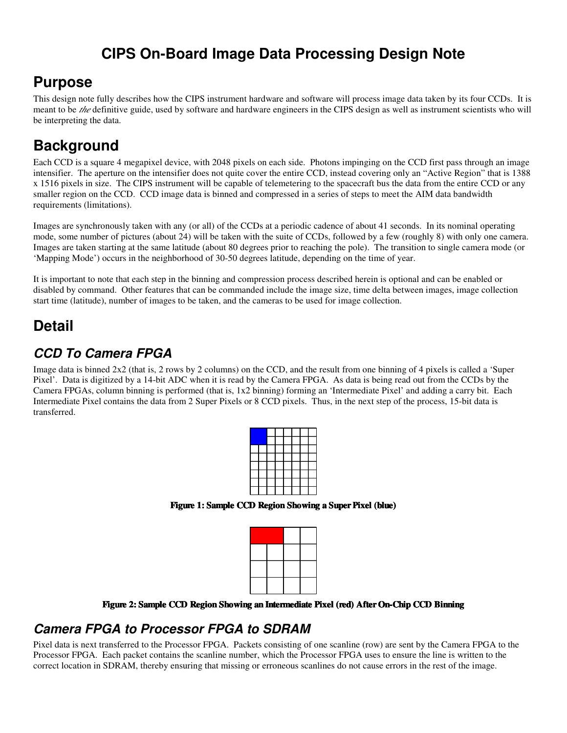## **CIPS On-Board Image Data Processing Design Note**

## **Purpose**

This design note fully describes how the CIPS instrument hardware and software will process image data taken by its four CCDs. It is meant to be *the* definitive guide, used by software and hardware engineers in the CIPS design as well as instrument scientists who will be interpreting the data.

# **Background**

Each CCD is a square 4 megapixel device, with 2048 pixels on each side. Photons impinging on the CCD first pass through an image intensifier. The aperture on the intensifier does not quite cover the entire CCD, instead covering only an "Active Region" that is 1388 x 1516 pixels in size. The CIPS instrument will be capable of telemetering to the spacecraft bus the data from the entire CCD or any smaller region on the CCD. CCD image data is binned and compressed in a series of steps to meet the AIM data bandwidth requirements (limitations).

Images are synchronously taken with any (or all) of the CCDs at a periodic cadence of about 41 seconds. In its nominal operating mode, some number of pictures (about 24) will be taken with the suite of CCDs, followed by a few (roughly 8) with only one camera. Images are taken starting at the same latitude (about 80 degrees prior to reaching the pole). The transition to single camera mode (or 'Mapping Mode') occurs in the neighborhood of 30-50 degrees latitude, depending on the time of year.

It is important to note that each step in the binning and compression process described herein is optional and can be enabled or disabled by command. Other features that can be commanded include the image size, time delta between images, image collection start time (latitude), number of images to be taken, and the cameras to be used for image collection.

# **Detail**

## *CCD To Camera FPGA*

Image data is binned 2x2 (that is, 2 rows by 2 columns) on the CCD, and the result from one binning of 4 pixels is called a 'Super Pixel'. Data is digitized by a 14-bit ADC when it is read by the Camera FPGA. As data is being read out from the CCDs by the Camera FPGAs, column binning is performed (that is, 1x2 binning) forming an 'Intermediate Pixel' and adding a carry bit. Each Intermediate Pixel contains the data from 2 Super Pixels or 8 CCD pixels. Thus, in the next step of the process, 15-bit data is transferred.



**Figure 1: Sample CCD Region Showing a SuperPixel (blue)**

**Figure 2: Sample CCD Region Showing an Intermediate Pixel (red) AfterOn-Chip CCD Binning**

## *Camera FPGA to Processor FPGA to SDRAM*

Pixel data is next transferred to the Processor FPGA. Packets consisting of one scanline (row) are sent by the Camera FPGA to the Processor FPGA. Each packet contains the scanline number, which the Processor FPGA uses to ensure the line is written to the correct location in SDRAM, thereby ensuring that missing or erroneous scanlines do not cause errors in the rest of the image.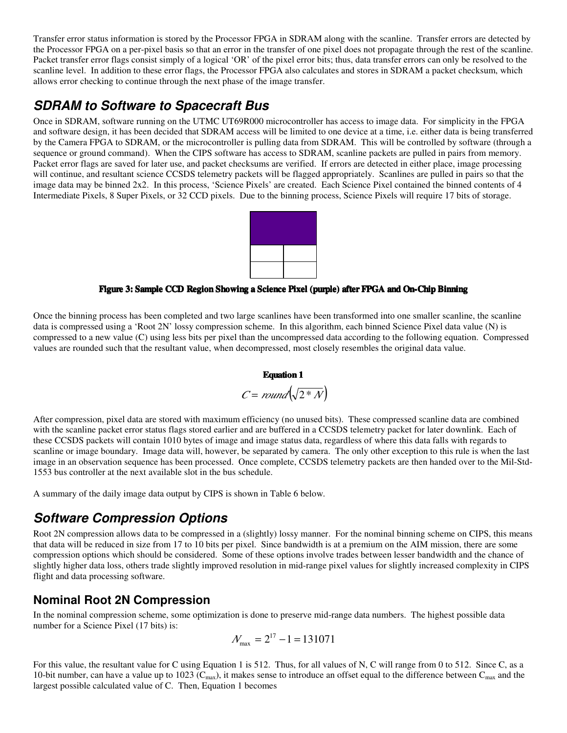Transfer error status information is stored by the Processor FPGA in SDRAM along with the scanline. Transfer errors are detected by the Processor FPGA on a per-pixel basis so that an error in the transfer of one pixel does not propagate through the rest of the scanline. Packet transfer error flags consist simply of a logical 'OR' of the pixel error bits; thus, data transfer errors can only be resolved to the scanline level. In addition to these error flags, the Processor FPGA also calculates and stores in SDRAM a packet checksum, which allows error checking to continue through the next phase of the image transfer.

## *SDRAM to Software to Spacecraft Bus*

Once in SDRAM, software running on the UTMC UT69R000 microcontroller has access to image data. For simplicity in the FPGA and software design, it has been decided that SDRAM access will be limited to one device at a time, i.e. either data is being transferred by the Camera FPGA to SDRAM, or the microcontroller is pulling data from SDRAM. This will be controlled by software (through a sequence or ground command). When the CIPS software has access to SDRAM, scanline packets are pulled in pairs from memory. Packet error flags are saved for later use, and packet checksums are verified. If errors are detected in either place, image processing will continue, and resultant science CCSDS telemetry packets will be flagged appropriately. Scanlines are pulled in pairs so that the image data may be binned 2x2. In this process, 'Science Pixels' are created. Each Science Pixel contained the binned contents of 4 Intermediate Pixels, 8 Super Pixels, or 32 CCD pixels. Due to the binning process, Science Pixels will require 17 bits of storage.



**Figure 3: Sample CCD Region Showing a Science Pixel (purple) after FPGA and On-Chip Binning**

Once the binning process has been completed and two large scanlines have been transformed into one smaller scanline, the scanline data is compressed using a 'Root 2N' lossy compression scheme. In this algorithm, each binned Science Pixel data value (N) is compressed to a new value (C) using less bits per pixel than the uncompressed data according to the following equation. Compressed values are rounded such that the resultant value, when decompressed, most closely resembles the original data value.

### **Equation 1**

$$
C = round\left(\sqrt{2*N}\right)
$$

After compression, pixel data are stored with maximum efficiency (no unused bits). These compressed scanline data are combined with the scanline packet error status flags stored earlier and are buffered in a CCSDS telemetry packet for later downlink. Each of these CCSDS packets will contain 1010 bytes of image and image status data, regardless of where this data falls with regards to scanline or image boundary. Image data will, however, be separated by camera. The only other exception to this rule is when the last image in an observation sequence has been processed. Once complete, CCSDS telemetry packets are then handed over to the Mil-Std-1553 bus controller at the next available slot in the bus schedule.

A summary of the daily image data output by CIPS is shown in Table 6 below.

### *Software Compression Options*

Root 2N compression allows data to be compressed in a (slightly) lossy manner. For the nominal binning scheme on CIPS, this means that data will be reduced in size from 17 to 10 bits per pixel. Since bandwidth is at a premium on the AIM mission, there are some compression options which should be considered. Some of these options involve trades between lesser bandwidth and the chance of slightly higher data loss, others trade slightly improved resolution in mid-range pixel values for slightly increased complexity in CIPS flight and data processing software.

### **Nominal Root 2N Compression**

In the nominal compression scheme, some optimization is done to preserve mid-range data numbers. The highest possible data number for a Science Pixel (17 bits) is:

$$
N_{\text{max}} = 2^{17} - 1 = 131071
$$

For this value, the resultant value for C using Equation 1 is 512. Thus, for all values of N, C will range from 0 to 512. Since C, as a 10-bit number, can have a value up to 1023 ( $C_{\text{max}}$ ), it makes sense to introduce an offset equal to the difference between  $C_{\text{max}}$  and the largest possible calculated value of C. Then, Equation 1 becomes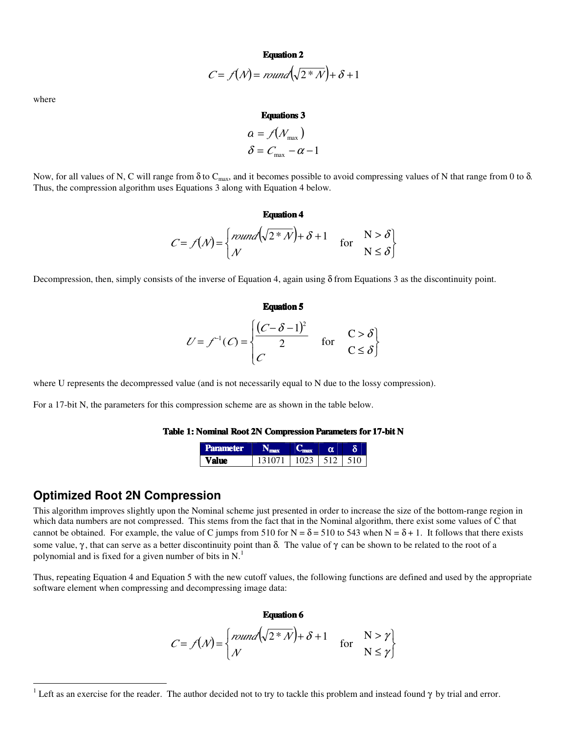**Equation 2**

$$
C = f(\mathcal{N}) = \text{round}\left(\sqrt{2 \cdot \mathcal{N}}\right) + \delta + 1
$$

where

#### **Equations 3**

$$
\begin{aligned} \n\alpha &= \mathcal{f}(N_{\text{max}}) \\ \n\delta &= C_{\text{max}} - \alpha - 1 \n\end{aligned}
$$

Now, for all values of N, C will range from  $\delta$  to C<sub>max</sub>, and it becomes possible to avoid compressing values of N that range from 0 to  $\delta$ . Thus, the compression algorithm uses Equations 3 along with Equation 4 below.

#### **Equation 4**

$$
C = f(\mathcal{N}) = \begin{cases} \text{round}(\sqrt{2 \cdot \mathcal{N}}) + \delta + 1 & \text{for} \quad N > \delta \\ \mathcal{N} & \text{if} \quad \delta \end{cases}
$$

Decompression, then, simply consists of the inverse of Equation 4, again using  $\delta$  from Equations 3 as the discontinuity point.

**Equation 5**

$$
U = f^{-1}(C) = \begin{cases} \frac{(C - \delta - 1)^2}{2} & \text{for } C > \delta \\ C & C \le \delta \end{cases}
$$

where U represents the decompressed value (and is not necessarily equal to N due to the lossy compression).

For a 17-bit N, the parameters for this compression scheme are as shown in the table below.

#### **Table 1: Nominal Root 2N Compression Parameters for 17-bit N**

| <b>Parameter</b> |       |              |  |
|------------------|-------|--------------|--|
|                  | 31071 | 1023 512 510 |  |

### **Optimized Root 2N Compression**

This algorithm improves slightly upon the Nominal scheme just presented in order to increase the size of the bottom-range region in which data numbers are not compressed. This stems from the fact that in the Nominal algorithm, there exist some values of C that cannot be obtained. For example, the value of C jumps from 510 for  $N = \delta = 510$  to 543 when  $N = \delta + 1$ . It follows that there exists some value, γ, that can serve as a better discontinuity point than δ. The value of γ can be shown to be related to the root of a polynomial and is fixed for a given number of bits in  $N<sup>1</sup>$ 

Thus, repeating Equation 4 and Equation 5 with the new cutoff values, the following functions are defined and used by the appropriate software element when compressing and decompressing image data:

**Equation 6**

$$
C = f(\mathcal{N}) = \begin{cases} \text{round}\left(\sqrt{2 \cdot \mathcal{N}}\right) + \delta + 1 & \text{for} \quad N > \gamma \\ \mathcal{N} & N \le \gamma \end{cases}
$$

<sup>&</sup>lt;sup>1</sup> Left as an exercise for the reader. The author decided not to try to tackle this problem and instead found  $\gamma$  by trial and error.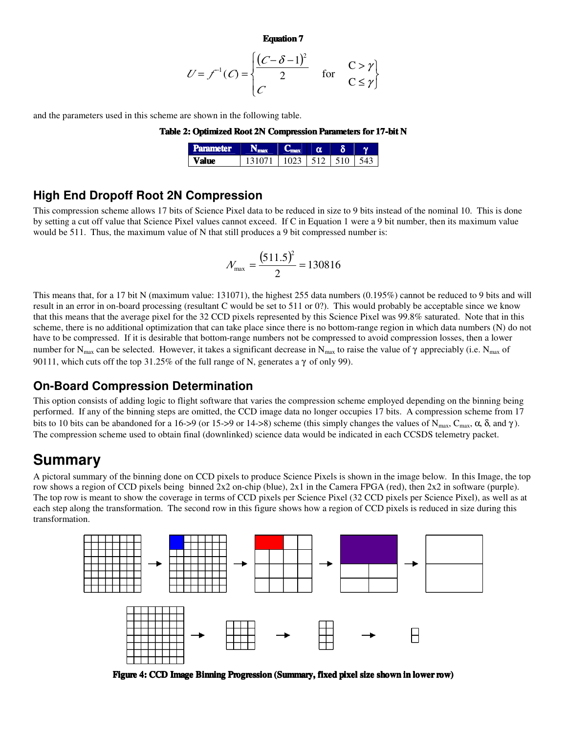**Equation 7**

$$
U = f^{-1}(C) = \begin{cases} \frac{(C - \delta - 1)^2}{2} & \text{for } C > \gamma \\ C & C \le \gamma \end{cases}
$$

and the parameters used in this scheme are shown in the following table.

| Table 2: Optimized Root 2N Compression Parameters for 17-bit N |  |  |  |
|----------------------------------------------------------------|--|--|--|
|----------------------------------------------------------------|--|--|--|

| <b>Parameter</b> |                | $\overline{\phantom{a}}$ |  |
|------------------|----------------|--------------------------|--|
| Value            | $1023$ 512 510 |                          |  |

### **High End Dropoff Root 2N Compression**

This compression scheme allows 17 bits of Science Pixel data to be reduced in size to 9 bits instead of the nominal 10. This is done by setting a cut off value that Science Pixel values cannot exceed. If C in Equation 1 were a 9 bit number, then its maximum value would be 511. Thus, the maximum value of N that still produces a 9 bit compressed number is:

$$
N_{\text{max}} = \frac{(511.5)^2}{2} = 130816
$$

This means that, for a 17 bit N (maximum value: 131071), the highest 255 data numbers (0.195%) cannot be reduced to 9 bits and will result in an error in on-board processing (resultant C would be set to 511 or 0?). This would probably be acceptable since we know that this means that the average pixel for the 32 CCD pixels represented by this Science Pixel was 99.8% saturated. Note that in this scheme, there is no additional optimization that can take place since there is no bottom-range region in which data numbers (N) do not have to be compressed. If it is desirable that bottom-range numbers not be compressed to avoid compression losses, then a lower number for N<sub>max</sub> can be selected. However, it takes a significant decrease in N<sub>max</sub> to raise the value of  $\gamma$  appreciably (i.e. N<sub>max</sub> of 90111, which cuts off the top 31.25% of the full range of N, generates a  $\gamma$  of only 99).

### **On-Board Compression Determination**

This option consists of adding logic to flight software that varies the compression scheme employed depending on the binning being performed. If any of the binning steps are omitted, the CCD image data no longer occupies 17 bits. A compression scheme from 17 bits to 10 bits can be abandoned for a 16->9 (or 15->9 or 14->8) scheme (this simply changes the values of N<sub>max</sub>, C<sub>max</sub>, α, δ, and γ). The compression scheme used to obtain final (downlinked) science data would be indicated in each CCSDS telemetry packet.

## **Summary**

A pictoral summary of the binning done on CCD pixels to produce Science Pixels is shown in the image below. In this Image, the top row shows a region of CCD pixels being binned 2x2 on-chip (blue), 2x1 in the Camera FPGA (red), then 2x2 in software (purple). The top row is meant to show the coverage in terms of CCD pixels per Science Pixel (32 CCD pixels per Science Pixel), as well as at each step along the transformation. The second row in this figure shows how a region of CCD pixels is reduced in size during this transformation.



**Figure 4: CCD Image Binning Progression (Summary, fixed pixel size shown in lower row)**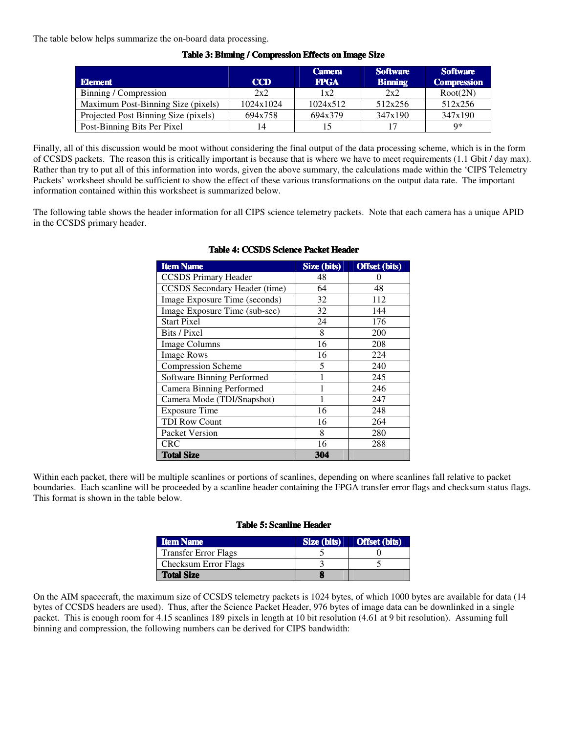The table below helps summarize the on-board data processing.

|                                      |            | <b>Camera</b> | <b>Software</b> | <b>Software</b>    |
|--------------------------------------|------------|---------------|-----------------|--------------------|
| <b>Element</b>                       | <b>CCD</b> | <b>FPGA</b>   | <b>Binning</b>  | <b>Compression</b> |
| Binning / Compression                | 2x2        | 1x2           | 2x2             | Root(2N)           |
| Maximum Post-Binning Size (pixels)   | 1024x1024  | 1024x512      | 512x256         | 512x256            |
| Projected Post Binning Size (pixels) | 694x758    | 694x379       | 347x190         | 347x190            |
| Post-Binning Bits Per Pixel          | 14         |               | 17              | Q*                 |

#### **Table 3: Binning / Compression Effects on Image Size**

Finally, all of this discussion would be moot without considering the final output of the data processing scheme, which is in the form of CCSDS packets. The reason this is critically important is because that is where we have to meet requirements (1.1 Gbit / day max). Rather than try to put all of this information into words, given the above summary, the calculations made within the 'CIPS Telemetry Packets' worksheet should be sufficient to show the effect of these various transformations on the output data rate. The important information contained within this worksheet is summarized below.

The following table shows the header information for all CIPS science telemetry packets. Note that each camera has a unique APID in the CCSDS primary header.

| <b>Item Name</b>                | Size (bits) | <b>Offset (bits)</b> |
|---------------------------------|-------------|----------------------|
| <b>CCSDS</b> Primary Header     | 48          |                      |
| CCSDS Secondary Header (time)   | 64          | 48                   |
| Image Exposure Time (seconds)   | 32          | 112                  |
| Image Exposure Time (sub-sec)   | 32          | 144                  |
| <b>Start Pixel</b>              | 24          | 176                  |
| Bits / Pixel                    | 8           | 200                  |
| <b>Image Columns</b>            | 16          | 208                  |
| <b>Image Rows</b>               | 16          | 224                  |
| <b>Compression Scheme</b>       | 5           | 240                  |
| Software Binning Performed      |             | 245                  |
| <b>Camera Binning Performed</b> |             | 246                  |
| Camera Mode (TDI/Snapshot)      |             | 247                  |
| <b>Exposure Time</b>            | 16          | 248                  |
| <b>TDI Row Count</b>            | 16          | 264                  |
| Packet Version                  | 8           | 280                  |
| <b>CRC</b>                      | 16          | 288                  |
| <b>Total Size</b>               | 304         |                      |

#### **Table 4: CCSDS Science Packet Header**

Within each packet, there will be multiple scanlines or portions of scanlines, depending on where scanlines fall relative to packet boundaries. Each scanline will be proceeded by a scanline header containing the FPGA transfer error flags and checksum status flags. This format is shown in the table below.

#### **Table 5: Scanline Header**

| <b>Item Name</b>            | Size (bits) | <b>Offset (bits)</b> |
|-----------------------------|-------------|----------------------|
| <b>Transfer Error Flags</b> |             |                      |
| <b>Checksum Error Flags</b> |             |                      |
| <b>Total Size</b>           |             |                      |

On the AIM spacecraft, the maximum size of CCSDS telemetry packets is 1024 bytes, of which 1000 bytes are available for data (14 bytes of CCSDS headers are used). Thus, after the Science Packet Header, 976 bytes of image data can be downlinked in a single packet. This is enough room for 4.15 scanlines 189 pixels in length at 10 bit resolution (4.61 at 9 bit resolution). Assuming full binning and compression, the following numbers can be derived for CIPS bandwidth: